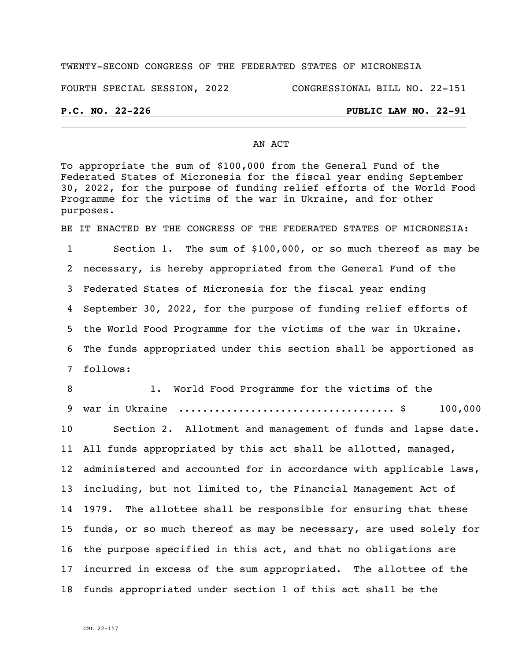## TWENTY-SECOND CONGRESS OF THE FEDERATED STATES OF MICRONESIA

### FOURTH SPECIAL SESSION, 2022 CONGRESSIONAL BILL NO. 22-151

## **P.C. NO. 22-226 PUBLIC LAW NO. 22-91**

## AN ACT

To appropriate the sum of \$100,000 from the General Fund of the Federated States of Micronesia for the fiscal year ending September 30, 2022, for the purpose of funding relief efforts of the World Food Programme for the victims of the war in Ukraine, and for other purposes.

BE IT ENACTED BY THE CONGRESS OF THE FEDERATED STATES OF MICRONESIA:

 Section 1. The sum of \$100,000, or so much thereof as may be necessary, is hereby appropriated from the General Fund of the Federated States of Micronesia for the fiscal year ending September 30, 2022, for the purpose of funding relief efforts of the World Food Programme for the victims of the war in Ukraine. The funds appropriated under this section shall be apportioned as 7 follows:

8 1. World Food Programme for the victims of the war in Ukraine .................................... \$ 100,000 100,000 Section 2. Allotment and management of funds and lapse date. All funds appropriated by this act shall be allotted, managed, administered and accounted for in accordance with applicable laws, including, but not limited to, the Financial Management Act of 1979. The allottee shall be responsible for ensuring that these funds, or so much thereof as may be necessary, are used solely for the purpose specified in this act, and that no obligations are incurred in excess of the sum appropriated. The allottee of the funds appropriated under section 1 of this act shall be the